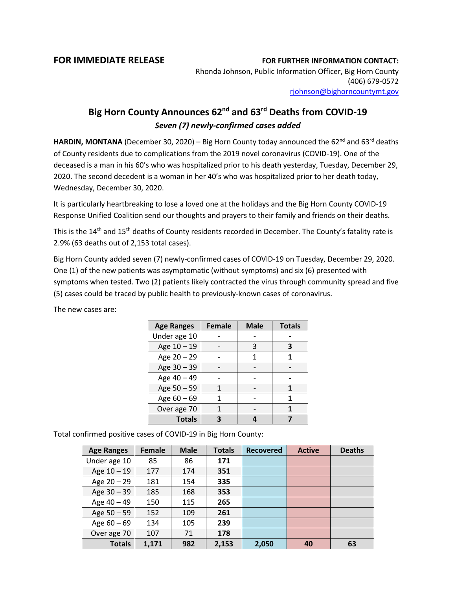## **FOR IMMEDIATE RELEASE FOR FURTHER INFORMATION CONTACT:**

Rhonda Johnson, Public Information Officer, Big Horn County (406) 679-0572 [rjohnson@bighorncountymt.gov](mailto:rjohnson@bighorncountymt.gov)

## **Big Horn County Announces 62nd and 63rd Deaths from COVID-19** *Seven (7) newly-confirmed cases added*

**HARDIN, MONTANA** (December 30, 2020) – Big Horn County today announced the 62<sup>nd</sup> and 63<sup>rd</sup> deaths of County residents due to complications from the 2019 novel coronavirus (COVID-19). One of the deceased is a man in his 60's who was hospitalized prior to his death yesterday, Tuesday, December 29, 2020. The second decedent is a woman in her 40's who was hospitalized prior to her death today, Wednesday, December 30, 2020.

It is particularly heartbreaking to lose a loved one at the holidays and the Big Horn County COVID-19 Response Unified Coalition send our thoughts and prayers to their family and friends on their deaths.

This is the 14<sup>th</sup> and 15<sup>th</sup> deaths of County residents recorded in December. The County's fatality rate is 2.9% (63 deaths out of 2,153 total cases).

Big Horn County added seven (7) newly-confirmed cases of COVID-19 on Tuesday, December 29, 2020. One (1) of the new patients was asymptomatic (without symptoms) and six (6) presented with symptoms when tested. Two (2) patients likely contracted the virus through community spread and five (5) cases could be traced by public health to previously-known cases of coronavirus.

| <b>Age Ranges</b> | <b>Female</b> | <b>Male</b> | <b>Totals</b> |
|-------------------|---------------|-------------|---------------|
| Under age 10      |               |             |               |
| Age 10 - 19       |               | 3           | З             |
| Age 20 - 29       |               | 1           |               |
| Age 30 - 39       |               |             |               |
| Age 40 - 49       |               |             |               |
| Age 50 - 59       |               |             |               |
| Age 60 - 69       |               |             |               |
| Over age 70       | 1             |             | 1             |
| <b>Totals</b>     |               |             |               |

The new cases are:

Total confirmed positive cases of COVID-19 in Big Horn County:

| <b>Age Ranges</b> | <b>Female</b> | <b>Male</b> | <b>Totals</b> | <b>Recovered</b> | <b>Active</b> | <b>Deaths</b> |
|-------------------|---------------|-------------|---------------|------------------|---------------|---------------|
| Under age 10      | 85            | 86          | 171           |                  |               |               |
| Age 10 - 19       | 177           | 174         | 351           |                  |               |               |
| Age 20 - 29       | 181           | 154         | 335           |                  |               |               |
| Age 30 - 39       | 185           | 168         | 353           |                  |               |               |
| Age 40 - 49       | 150           | 115         | 265           |                  |               |               |
| Age $50 - 59$     | 152           | 109         | 261           |                  |               |               |
| Age $60 - 69$     | 134           | 105         | 239           |                  |               |               |
| Over age 70       | 107           | 71          | 178           |                  |               |               |
| <b>Totals</b>     | 1,171         | 982         | 2,153         | 2,050            | 40            | 63            |